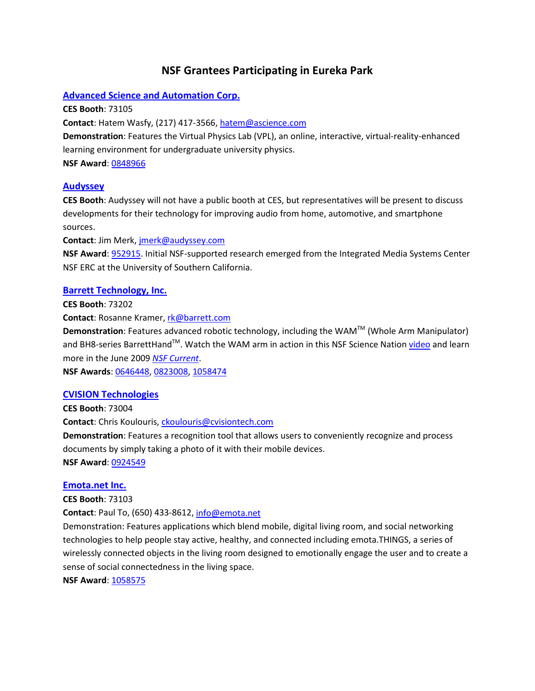# **NSF Grantees Participating in Eureka Park**

# **[Advanced Science and Automation Corp.](http://www.nsf.gov/cgi-bin/goodbye?http://www.asciencetutor.com/)**

**CES Booth**: 73105

**Contact**: Hatem Wasfy, (217) 417-3566[, hatem@ascience.com](mailto:hatem@ascience.com)

**Demonstration**: Features the Virtual Physics Lab (VPL), an online, interactive, virtual-reality-enhanced learning environment for undergraduate university physics.

**NSF Award**[: 0848966](http://nsf.gov/awardsearch/showAward.do?AwardNumber=0848966)

# **[Audyssey](http://www.nsf.gov/cgi-bin/good-bye?http://www.audyssey.com/)**

**CES Booth**: Audyssey will not have a public booth at CES, but representatives will be present to discuss developments for their technology for improving audio from home, automotive, and smartphone sources.

**Contact**: Jim Merk, [jmerk@audyssey.com](mailto:jmerk@audyssey.com)

**NSF Award**[: 952915.](http://nsf.gov/awardsearch/showAward.do?AwardNumber=9529152) Initial NSF-supported research emerged from the Integrated Media Systems Center NSF ERC at the University of Southern California.

# **[Barrett Technology, Inc.](http://www.nsf.gov/cgi-bin/good-bye?http://www.barrett.com/)**

**CES Booth**: 73202

**Contact**: Rosanne Kramer[, rk@barrett.com](mailto:rk@barrett.com)

**Demonstration**: Features advanced robotic technology, including the WAM™ (Whole Arm Manipulator) and BH8-series BarrettHand™. Watch the WAM arm in action in this NSF Science Nation [video](http://www.nsf.gov/news/special_reports/science_nation/roboticarms.jsp) and learn more in the June 2009 *[NSF Current](http://www.nsf.gov/news/newsletter/jun_09/index.jsp#work1)*.

**NSF Awards**: [0646448,](http://nsf.gov/awardsearch/showAward.do?AwardNumber=0646448) [0823008,](http://nsf.gov/awardsearch/showAward.do?AwardNumber=0823008) [1058474](http://nsf.gov/awardsearch/showAward.do?AwardNumber=1058474)

# **[CVISION Technologies](http://www.nsf.gov/cgi-bin/good-bye?http://www.cvisiontech.com/)**

**CES Booth**: 73004 **Contact**: Chris Koulouris, [ckoulouris@cvisiontech.com](mailto:ckoulouris@cvisiontech.com) **Demonstration**: Features a recognition tool that allows users to conveniently recognize and process documents by simply taking a photo of it with their mobile devices. **NSF Award**: [0924549](http://nsf.gov/awardsearch/showAward.do?AwardNumber=0924549)

# **[Emota.net Inc.](http://www.nsf.gov/cgi-bin/good-bye?http://www.emota.net/)**

**CES Booth**: 73103

**Contact**: Paul To, (650) 433-8612[, info@emota.net](mailto:info@emota.net)

Demonstration: Features applications which blend mobile, digital living room, and social networking technologies to help people stay active, healthy, and connected including emota.THINGS, a series of wirelessly connected objects in the living room designed to emotionally engage the user and to create a sense of social connectedness in the living space.

**NSF Award**[: 1058575](http://nsf.gov/awardsearch/showAward.do?AwardNumber=1058575)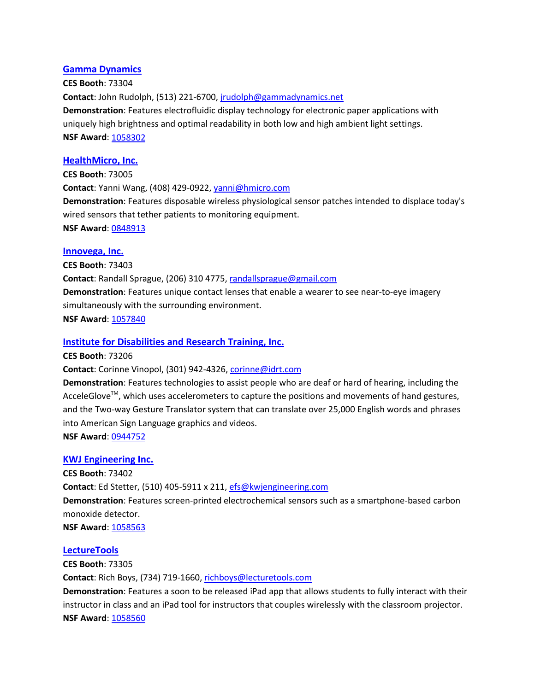#### **[Gamma Dynamics](http://www.nsf.gov/cgi-bin/good-bye?http://www.gammadynamics.net/)**

**CES Booth**: 73304 **Contact**: John Rudolph, (513) 221-6700, [jrudolph@gammadynamics.net](mailto:jrudolph@gammadynamics.net) **Demonstration**: Features electrofluidic display technology for electronic paper applications with uniquely high brightness and optimal readability in both low and high ambient light settings. **NSF Award**[: 1058302](http://nsf.gov/awardsearch/showAward.do?AwardNumber=1058302)

# **[HealthMicro, Inc.](http://www.nsf.gov/cgi-bin/good-bye?http://www.hmicro.com/)**

**CES Booth**: 73005 **Contact**: Yanni Wang, (408) 429-0922[, yanni@hmicro.com](mailto:yanni@hmicro.com) **Demonstration**: Features disposable wireless physiological sensor patches intended to displace today's wired sensors that tether patients to monitoring equipment. **NSF Award**: [0848913](http://nsf.gov/awardsearch/showAward.do?AwardNumber=0848913)

#### **[Innovega, Inc.](http://www.nsf.gov/cgi-bin/good-bye?http://innovega-inc.com/)**

**CES Booth**: 73403 **Contact**: Randall Sprague, (206) 310 4775[, randallsprague@gmail.com](mailto:randallsprague@gmail.com) **Demonstration**: Features unique contact lenses that enable a wearer to see near-to-eye imagery simultaneously with the surrounding environment. **NSF Award[: 1057840](http://nsf.gov/awardsearch/showAward.do?AwardNumber=1057840)** 

#### **[Institute for Disabilities and Research Training, Inc.](http://www.nsf.gov/cgi-bin/good-bye?http://www.idrt.com/)**

**CES Booth**: 73206

Contact: Corinne Vinopol, (301) 942-4326[, corinne@idrt.com](mailto:corinne@idrt.com)

**Demonstration**: Features technologies to assist people who are deaf or hard of hearing, including the AcceleGlove<sup>™</sup>, which uses accelerometers to capture the positions and movements of hand gestures, and the Two-way Gesture Translator system that can translate over 25,000 English words and phrases into American Sign Language graphics and videos.

**NSF Award**[: 0944752](http://nsf.gov/awardsearch/showAward.do?AwardNumber=0944752)

#### **[KWJ Engineering Inc.](http://www.nsf.gov/cgi-bin/good-bye?http://www.kwjengineering.com/)**

**CES Booth**: 73402 **Contact**: Ed Stetter, (510) 405-5911 x 211[, efs@kwjengineering.com](mailto:efs@kwjengineering.com) **Demonstration**: Features screen-printed electrochemical sensors such as a smartphone-based carbon monoxide detector. **NSF Award**[: 1058563](http://nsf.gov/awardsearch/showAward.do?AwardNumber=1058563)

#### **[LectureTools](http://www.nsf.gov/cgi-bin/good-bye?http://www.lecturetools.com/)**

**CES Booth**: 73305 **Contact**: Rich Boys, (734) 719-1660, [richboys@lecturetools.com](mailto:richboys@lecturetools.com) **Demonstration**: Features a soon to be released iPad app that allows students to fully interact with their instructor in class and an iPad tool for instructors that couples wirelessly with the classroom projector. **NSF Award[: 1058560](http://nsf.gov/awardsearch/showAward.do?AwardNumber=1058560)**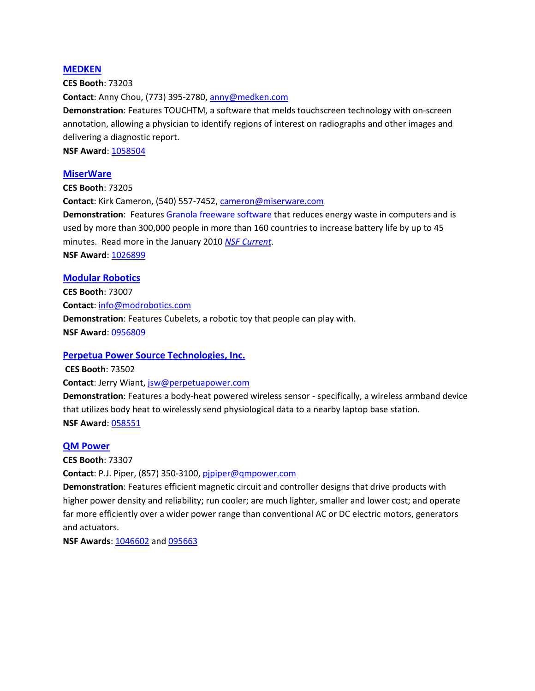#### **[MEDKEN](http://www.nsf.gov/cgi-bin/good-bye?http://www.medken.com/)**

**CES Booth**: 73203 **Contact**: Anny Chou, (773) 395-2780, [anny@medken.com](mailto:anny@medken.com) **Demonstration**: Features TOUCHTM, a software that melds touchscreen technology with on-screen annotation, allowing a physician to identify regions of interest on radiographs and other images and delivering a diagnostic report. **NSF Award**: [1058504](http://nsf.gov/awardsearch/showAward.do?AwardNumber=1058504)

#### **[MiserWare](http://www.nsf.gov/cgi-bin/good-bye?http://miserware.com/)**

**CES Booth**: 73205 **Contact**: Kirk Cameron, (540) 557-7452, [cameron@miserware.com](mailto:cameron@miserware.com) **Demonstration**: Feature[s Granola freeware](http://www.nsf.gov/cgi-bin/goodbye?http://grano.la/) software that reduces energy waste in computers and is used by more than 300,000 people in more than 160 countries to increase battery life by up to 45 minutes. Read more in the January 2010 *[NSF Current](http://www.acpt.nsf.gov/news/newsletter/jan_10/index.jsp#work3)*. **NSF Award**[: 1026899](http://nsf.gov/awardsearch/showAward.do?AwardNumber=1026899)

#### **[Modular Robotics](http://www.nsf.gov/cgi-bin/good-bye?http://www.modrobotics.com/)**

**CES Booth**: 73007 **Contact**[: info@modrobotics.com](mailto:info@modrobotics.com) **Demonstration**: Features Cubelets, a robotic toy that people can play with. **NSF Award**[: 0956809](http://nsf.gov/awardsearch/showAward.do?AwardNumber=0956809)

# **[Perpetua Power Source Technologies, Inc.](http://www.nsf.gov/cgi-bin/good-bye?http://www.perpetuapower.com/)**

**CES Booth**: 73502

**Contact**: Jerry Wiant, [jsw@perpetuapower.com](mailto:jsw@perpetuapower.com)

**Demonstration**: Features a body-heat powered wireless sensor - specifically, a wireless armband device that utilizes body heat to wirelessly send physiological data to a nearby laptop base station. **NSF Award**[: 058551](http://nsf.gov/awardsearch/showAward.do?AwardNumber=1058551)

# **[QM Power](http://www.nsf.gov/cgi-bin/good-bye?http://www.qmpower.com/)**

**CES Booth**: 73307

**Contact**: P.J. Piper, (857) 350-3100, [pjpiper@qmpower.com](mailto:pjpiper@qmpower.com)

**Demonstration**: Features efficient magnetic circuit and controller designs that drive products with higher power density and reliability; run cooler; are much lighter, smaller and lower cost; and operate far more efficiently over a wider power range than conventional AC or DC electric motors, generators and actuators.

**NSF Awards: [1046602](http://nsf.gov/awardsearch/showAward.do?AwardNumber=1046602) an[d 095663](http://nsf.gov/awardsearch/showAward.do?AwardNumber=0956630)**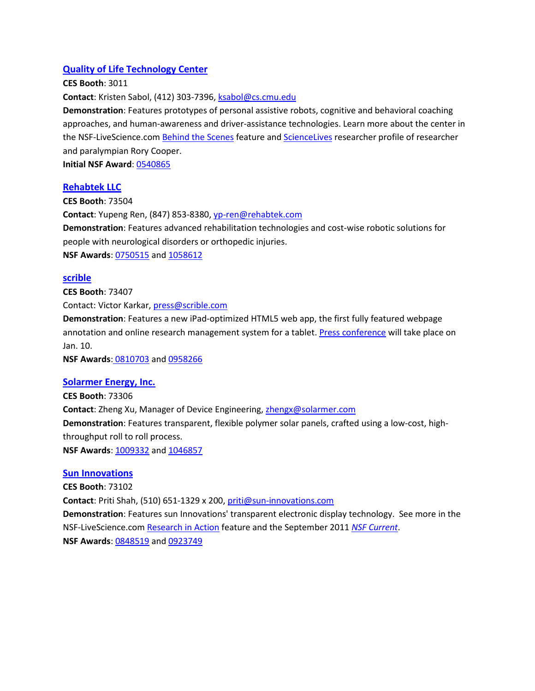# **[Quality of Life Technology Center](http://www.nsf.gov/cgi-bin/good-bye?http://www.cmu.edu/qolt/AboutQoLTCenter/PressRoom/qolt-at-ces-2012.html)**

#### **CES Booth**: 3011

**Contact**: Kristen Sabol, (412) 303-7396[, ksabol@cs.cmu.edu](mailto:ksabol@cs.cmu.edu)

**Demonstration**: Features prototypes of personal assistive robots, cognitive and behavioral coaching approaches, and human-awareness and driver-assistance technologies. Learn more about the center in the NSF-LiveScience.com **Behind the Scenes feature and [ScienceLives](http://www.nsf.gov/cgi-bin/good-bye?http://www.livescience.com/5691-paralympian-tech-people-disabilities.html)** researcher profile of researcher and paralympian Rory Cooper.

**Initial NSF Award**: [0540865](http://nsf.gov/awardsearch/showAward.do?AwardNumber=0540865)

# **[Rehabtek LLC](http://www.nsf.gov/cgi-bin/good-bye?http://www.rehabtek.com/)**

**CES Booth**: 73504 **Contact**: Yupeng Ren, (847) 853-8380[, yp-ren@rehabtek.com](mailto:yp-ren@rehabtek.com) **Demonstration**: Features advanced rehabilitation technologies and cost-wise robotic solutions for people with neurological disorders or orthopedic injuries. **NSF Awards**: [0750515](http://nsf.gov/awardsearch/showAward.do?AwardNumber=0750515) an[d 1058612](http://nsf.gov/awardsearch/showAward.do?AwardNumber=1058612)

#### **[scrible](http://www.nsf.gov/cgi-bin/goodbye?http://www.scrible.com/)**

**CES Booth**: 73407 Contact: Victor Karkar[, press@scrible.com](mailto:press@scrible.com)

**Demonstration**: Features a new iPad-optimized HTML5 web app, the first fully featured webpage annotation and online research management system for a tablet[. Press conference](http://www.nsf.gov/cgi-bin/goodbye?http://www.cesweb.org/press/events/press_event_detail.asp?ID=835) will take place on Jan. 10.

**NSF Awards**: [0810703](http://nsf.gov/awardsearch/showAward.do?AwardNumber=0810703) an[d 0958266](http://nsf.gov/awardsearch/showAward.do?AwardNumber=0958266)

#### **[Solarmer Energy, Inc.](http://www.nsf.gov/cgi-bin/good-bye?http://www.solarmer.com/)**

**CES Booth**: 73306 **Contact**: Zheng Xu, Manager of Device Engineering, [zhengx@solarmer.com](mailto:zhengx@solarmer.com) **Demonstration**: Features transparent, flexible polymer solar panels, crafted using a low-cost, highthroughput roll to roll process. **NSF Awards: [1009332](http://nsf.gov/awardsearch/showAward.do?AwardNumber=1009332) an[d 1046857](http://nsf.gov/awardsearch/showAward.do?AwardNumber=1046857)** 

# **[Sun Innovations](http://www.nsf.gov/cgi-bin/good-bye?http://www.sun-innovations.com/)**

**CES Booth**: 73102 **Contact**: Priti Shah, (510) 651-1329 x 200[, priti@sun-innovations.com](mailto:priti@sun-innovations.com) **Demonstration**: Features sun Innovations' transparent electronic display technology. See more in the NSF-LiveScience.com [Research in Action](http://www.nsf.gov/cgi-bin/good-bye?http://www.livescience.com/15506-transparent-display-technology-nsf-ria.html) feature and the September 2011 *[NSF Current](http://www.nsf.gov/news/newsletter/sep_11/index.jsp#work2)*. **NSF Awards**: [0848519](http://nsf.gov/awardsearch/showAward.do?AwardNumber=0848519) an[d 0923749](http://nsf.gov/awardsearch/showAward.do?AwardNumber=0923749)